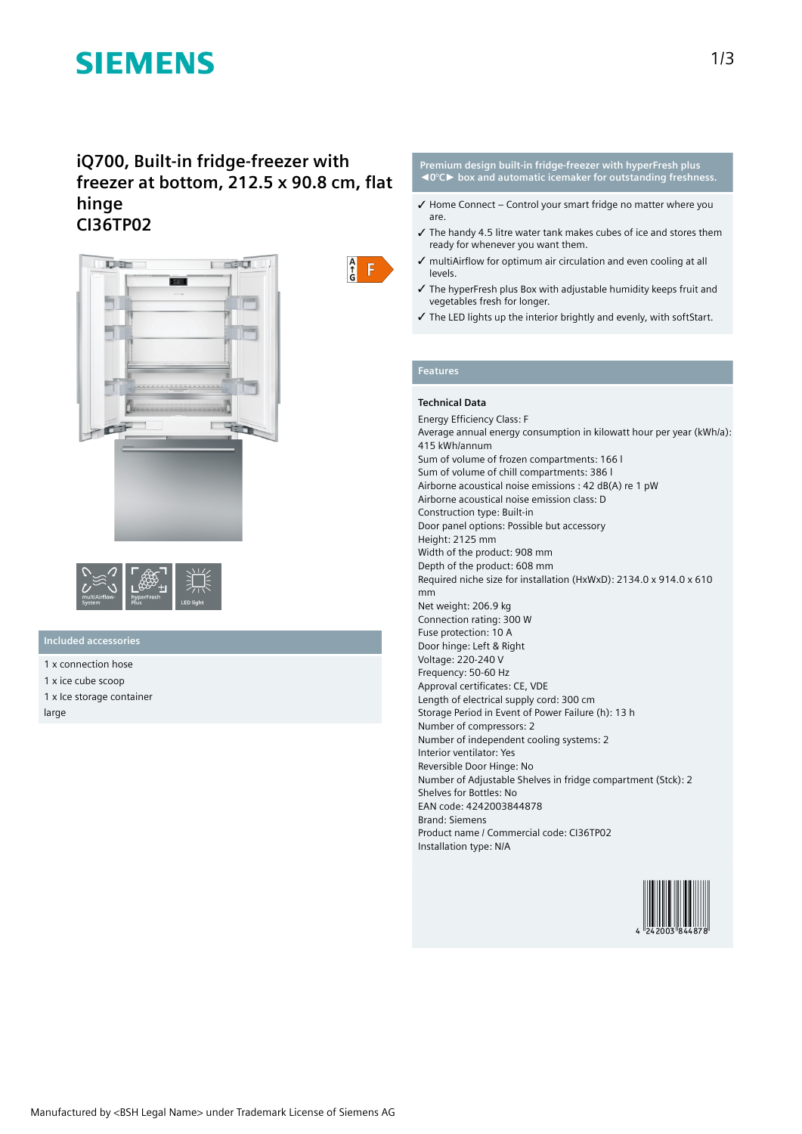# **SIEMENS**

# **iQ700, Built-in fridge-freezer with freezer at bottom, 212.5 x 90.8 cm, flat hinge CI36TP02**





# **Included accessories**

- 1 x connection hose 1 x ice cube scoop
- 1 x Ice storage container

large



### **Premium design built-in fridge-freezer with hyperFresh plus ◄0°C► box and automatic icemaker for outstanding freshness.**

- $\checkmark$  Home Connect Control your smart fridge no matter where you are.
- ✓ The handy 4.5 litre water tank makes cubes of ice and stores them ready for whenever you want them.
- ✓ multiAirflow for optimum air circulation and even cooling at all levels.
- ✓ The hyperFresh plus Box with adjustable humidity keeps fruit and vegetables fresh for longer.
- ✓ The LED lights up the interior brightly and evenly, with softStart.

## **Features**

## **Technical Data**

Energy Efficiency Class: F Average annual energy consumption in kilowatt hour per year (kWh/a): 415 kWh/annum Sum of volume of frozen compartments: 166 l Sum of volume of chill compartments: 386 l Airborne acoustical noise emissions : 42 dB(A) re 1 pW Airborne acoustical noise emission class: D Construction type: Built-in Door panel options: Possible but accessory Height: 2125 mm Width of the product: 908 mm Depth of the product: 608 mm Required niche size for installation (HxWxD): 2134.0 x 914.0 x 610 mm Net weight: 206.9 kg Connection rating: 300 W Fuse protection: 10 A Door hinge: Left & Right Voltage: 220-240 V Frequency: 50-60 Hz Approval certificates: CE, VDE Length of electrical supply cord: 300 cm Storage Period in Event of Power Failure (h): 13 h Number of compressors: 2 Number of independent cooling systems: 2 Interior ventilator: Yes Reversible Door Hinge: No Number of Adjustable Shelves in fridge compartment (Stck): 2 Shelves for Bottles: No EAN code: 4242003844878 Brand: Siemens Product name / Commercial code: CI36TP02 Installation type: N/A

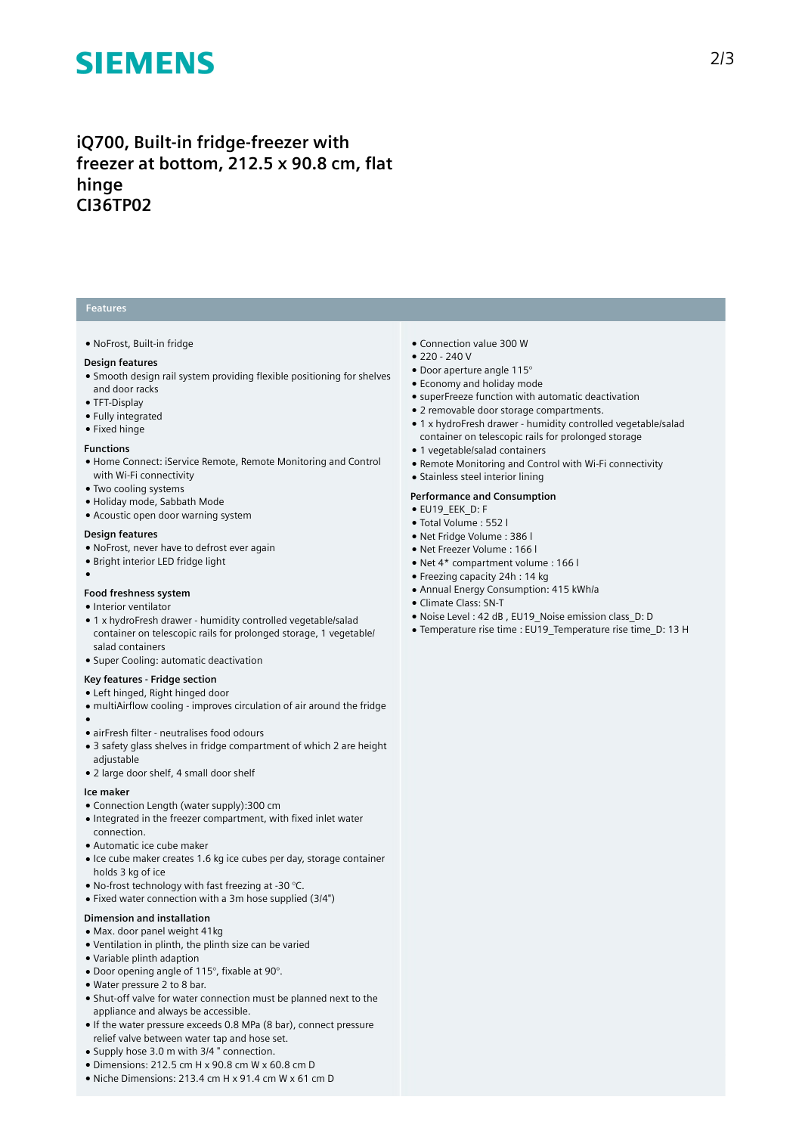# **SIEMENS**

# **iQ700, Built-in fridge-freezer with freezer at bottom, 212.5 x 90.8 cm, flat hinge CI36TP02**

# **Features**

### ● NoFrost, Built-in fridge

## **Design features**

- Smooth design rail system providing flexible positioning for shelves and door racks
- TFT-Display
- Fully integrated
- Fixed hinge

#### **Functions**

- Home Connect: iService Remote, Remote Monitoring and Control with Wi-Fi connectivity
- Two cooling systems
- Holiday mode, Sabbath Mode
- Acoustic open door warning system

#### **Design features**

- NoFrost, never have to defrost ever again
- Bright interior LED fridge light
- ●

## **Food freshness system**

- Interior ventilator
- 1 x hydroFresh drawer humidity controlled vegetable/salad container on telescopic rails for prolonged storage, 1 vegetable/ salad containers
- Super Cooling: automatic deactivation

## **Key features - Fridge section**

- Left hinged, Right hinged door
- multiAirflow cooling improves circulation of air around the fridge
- ●
- airFresh filter neutralises food odours
- 3 safety glass shelves in fridge compartment of which 2 are height adjustable
- 2 large door shelf, 4 small door shelf

#### **Ice maker**

- Connection Length (water supply):300 cm
- Integrated in the freezer compartment, with fixed inlet water
- connection.
- Automatic ice cube maker
- Ice cube maker creates 1.6 kg ice cubes per day, storage container holds 3 kg of ice
- No-frost technology with fast freezing at -30 °C.
- Fixed water connection with a 3m hose supplied (3/4")

# **Dimension and installation**

- Max. door panel weight 41kg
- Ventilation in plinth, the plinth size can be varied
- Variable plinth adaption
- Door opening angle of 115°, fixable at 90°.
- Water pressure 2 to 8 bar.
- Shut-off valve for water connection must be planned next to the appliance and always be accessible.
- If the water pressure exceeds 0.8 MPa (8 bar), connect pressure relief valve between water tap and hose set.
- Supply hose 3.0 m with 3/4 " connection.
- Dimensions: 212.5 cm H x 90.8 cm W x 60.8 cm D
- Niche Dimensions: 213.4 cm H x 91.4 cm W x 61 cm D
- Connection value 300 W
- $220 240V$
- Door aperture angle 115°
- Economy and holiday mode
- superFreeze function with automatic deactivation
- 2 removable door storage compartments.
- 1 x hydroFresh drawer humidity controlled vegetable/salad
- container on telescopic rails for prolonged storage ● 1 vegetable/salad containers
- Remote Monitoring and Control with Wi-Fi connectivity
- Stainless steel interior lining

### **Performance and Consumption**

- EU19\_EEK\_D: F
- Total Volume : 552 l
- Net Fridge Volume : 386 l
- Net Freezer Volume : 166 l
- Net 4\* compartment volume : 166 l
- Freezing capacity 24h : 14 kg ● Annual Energy Consumption: 415 kWh/a
- Climate Class: SN-T
- Noise Level : 42 dB , EU19\_Noise emission class\_D: D
- Temperature rise time : EU19\_Temperature rise time\_D: 13 H